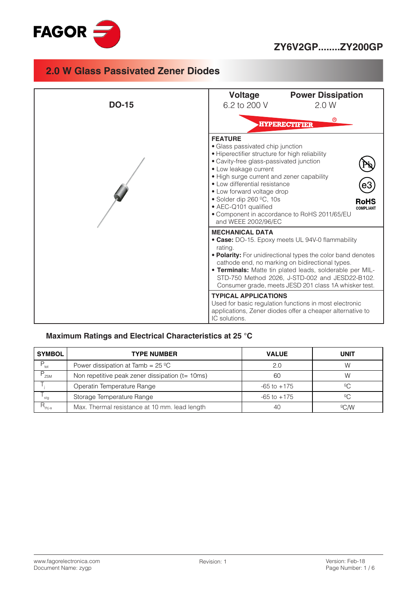

### **ZY6V2GP........ZY200GP**

### **2.0 W Glass Passivated Zener Diodes**



#### **Maximum Ratings and Electrical Characteristics at 25 °C**

| <b>SYMBOL</b>     | <b>TYPE NUMBER</b>                                        | <b>VALUE</b>    | <b>UNIT</b> |
|-------------------|-----------------------------------------------------------|-----------------|-------------|
| P<br>tot          | Power dissipation at Tamb = $25 \text{ }^{\circ}\text{C}$ | 2.0             | W           |
| ZSM               | Non repetitive peak zener dissipation (t= 10ms)           | 60              | W           |
|                   | Operatin Temperature Range                                | $-65$ to $+175$ |             |
| stg               | Storage Temperature Range                                 | $-65$ to $+175$ | 2C          |
| $R_{\text{thja}}$ | Max. Thermal resistance at 10 mm. lead length             | 40              | C/M         |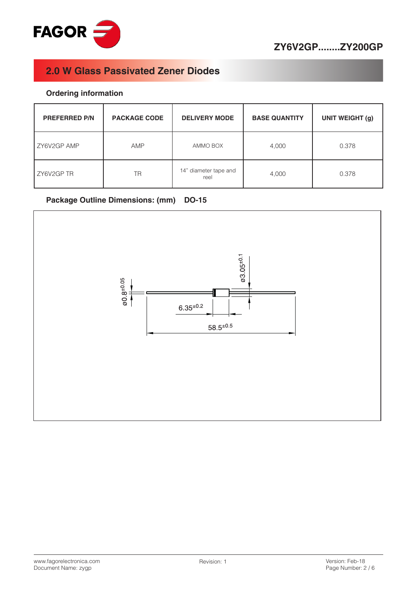

#### **Ordering information**

| <b>PREFERRED P/N</b> | <b>PACKAGE CODE</b> | <b>DELIVERY MODE</b>          | <b>BASE QUANTITY</b> | <b>UNIT WEIGHT (g)</b> |
|----------------------|---------------------|-------------------------------|----------------------|------------------------|
| ZY6V2GP AMP          | AMP                 | AMMO BOX                      | 4,000                | 0.378                  |
| ZY6V2GP TR<br>ΤR     |                     | 14" diameter tape and<br>reel | 4,000                | 0.378                  |

#### **Package Outline Dimensions: (mm) DO-15**

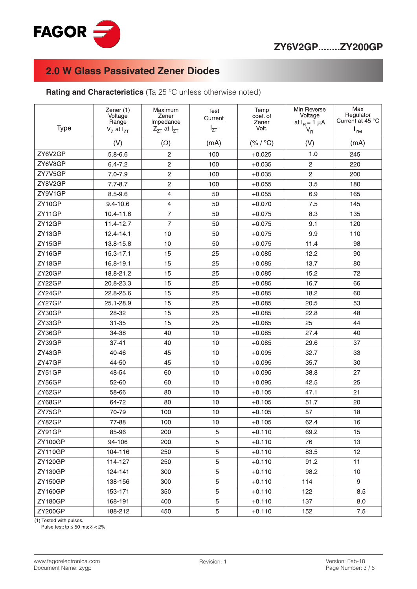

**Rating and Characteristics** (Ta 25 °C unless otherwise noted)

| <b>Type</b>    | Zener (1)<br>Voltage<br>Range<br>$VZ$ at $IZT$ | Maximum<br>Zener<br>Impedance<br>$Z_{ZT}$ at $I_{ZT}$ | Test<br>Current<br>$I_{ZT}$ | Temp<br>coef. of<br>Zener<br>Volt. | Min Reverse<br>Voltage<br>at $I_R = 1 \mu A$<br>$V_R$ | Max<br>Regulator<br>Current at 45 °C<br>$I_{ZM}$ |
|----------------|------------------------------------------------|-------------------------------------------------------|-----------------------------|------------------------------------|-------------------------------------------------------|--------------------------------------------------|
|                | (V)                                            | $(\Omega)$                                            | (mA)                        | (% / °C)                           | (V)                                                   | (mA)                                             |
| ZY6V2GP        | $5.8 - 6.6$                                    | $\overline{c}$                                        | 100                         | $+0.025$                           | 1.0                                                   | 245                                              |
| ZY6V8GP        | $6.4 - 7.2$                                    | $\overline{c}$                                        | 100                         | $+0.035$                           | $\overline{c}$                                        | 220                                              |
| ZY7V5GP        | $7.0 - 7.9$                                    | $\overline{c}$                                        | 100                         | $+0.035$                           | $\overline{c}$                                        | 200                                              |
| ZY8V2GP        | $7.7 - 8.7$                                    | $\overline{c}$                                        | 100                         | $+0.055$                           | 3.5                                                   | 180                                              |
| ZY9V1GP        | $8.5 - 9.6$                                    | $\overline{4}$                                        | 50                          | $+0.055$                           | 6.9                                                   | 165                                              |
| ZY10GP         | $9.4 - 10.6$                                   | 4                                                     | 50                          | $+0.070$                           | 7.5                                                   | 145                                              |
| ZY11GP         | 10.4-11.6                                      | $\overline{7}$                                        | 50                          | $+0.075$                           | 8.3                                                   | 135                                              |
| ZY12GP         | 11.4-12.7                                      | $\overline{7}$                                        | 50                          | $+0.075$                           | 9.1                                                   | 120                                              |
| ZY13GP         | $12.4 - 14.1$                                  | 10                                                    | 50                          | $+0.075$                           | 9.9                                                   | 110                                              |
| ZY15GP         | 13.8-15.8                                      | 10                                                    | 50                          | $+0.075$                           | 11.4                                                  | 98                                               |
| ZY16GP         | 15.3-17.1                                      | 15                                                    | 25                          | $+0.085$                           | 12.2                                                  | 90                                               |
| ZY18GP         | 16.8-19.1                                      | 15                                                    | 25                          | $+0.085$                           | 13.7                                                  | 80                                               |
| ZY20GP         | 18.8-21.2                                      | 15                                                    | 25                          | $+0.085$                           | 15.2                                                  | 72                                               |
| ZY22GP         | 20.8-23.3                                      | 15                                                    | 25                          | $+0.085$                           | 16.7                                                  | 66                                               |
| ZY24GP         | 22.8-25.6                                      | 15                                                    | 25                          | $+0.085$                           | 18.2                                                  | 60                                               |
| ZY27GP         | 25.1-28.9                                      | 15                                                    | 25                          | $+0.085$                           | 20.5                                                  | 53                                               |
| ZY30GP         | 28-32                                          | 15                                                    | 25                          | $+0.085$                           | 22.8                                                  | 48                                               |
| ZY33GP         | $31 - 35$                                      | 15                                                    | 25                          | $+0.085$                           | 25                                                    | 44                                               |
| ZY36GP         | 34-38                                          | 40                                                    | 10                          | $+0.085$                           | 27.4                                                  | 40                                               |
| ZY39GP         | $37 - 41$                                      | 40                                                    | 10                          | $+0.085$                           | 29.6                                                  | 37                                               |
| ZY43GP         | 40-46                                          | 45                                                    | 10                          | $+0.095$                           | 32.7                                                  | 33                                               |
| ZY47GP         | 44-50                                          | 45                                                    | 10                          | $+0.095$                           | 35.7                                                  | 30                                               |
| ZY51GP         | 48-54                                          | 60                                                    | 10                          | $+0.095$                           | 38.8                                                  | 27                                               |
| ZY56GP         | 52-60                                          | 60                                                    | 10                          | $+0.095$                           | 42.5                                                  | 25                                               |
| ZY62GP         | 58-66                                          | 80                                                    | 10                          | $+0.105$                           | 47.1                                                  | 21                                               |
| ZY68GP         | 64-72                                          | 80                                                    | 10                          | $+0.105$                           | 51.7                                                  | 20                                               |
| ZY75GP         | 70-79                                          | 100                                                   | 10                          | $+0.105$                           | 57                                                    | 18                                               |
| ZY82GP         | 77-88                                          | 100                                                   | 10                          | $+0.105$                           | 62.4                                                  | 16                                               |
| ZY91GP         | 85-96                                          | 200                                                   | 5                           | $+0.110$                           | 69.2                                                  | 15                                               |
| <b>ZY100GP</b> | 94-106                                         | 200                                                   | 5                           | $+0.110$                           | 76                                                    | 13                                               |
| <b>ZY110GP</b> | 104-116                                        | 250                                                   | 5                           | $+0.110$                           | 83.5                                                  | 12                                               |
| <b>ZY120GP</b> | 114-127                                        | 250                                                   | 5                           | $+0.110$                           | 91.2                                                  | 11                                               |
| <b>ZY130GP</b> | 124-141                                        | 300                                                   | 5                           | $+0.110$                           | 98.2                                                  | 10 <sup>1</sup>                                  |
| ZY150GP        | 138-156                                        | 300                                                   | 5                           | $+0.110$                           | 114                                                   | 9                                                |
| ZY160GP        | 153-171                                        | 350                                                   | 5                           | $+0.110$                           | 122                                                   | 8.5                                              |
| <b>ZY180GP</b> | 168-191                                        | 400                                                   | 5                           | $+0.110$                           | 137                                                   | 8.0                                              |
| ZY200GP        | 188-212                                        | 450                                                   | 5                           | $+0.110$                           | 152                                                   | 7.5                                              |

(1) Tested with pulses.

Pulse test:  $tp \le 50$  ms;  $\delta < 2\%$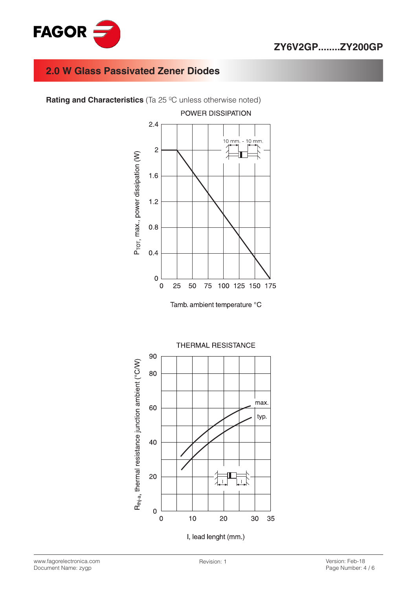

**Rating and Characteristics** (Ta 25 °C unless otherwise noted)



Tamb. ambient temperature °C



www.fagorelectronica.com Document Name: zygp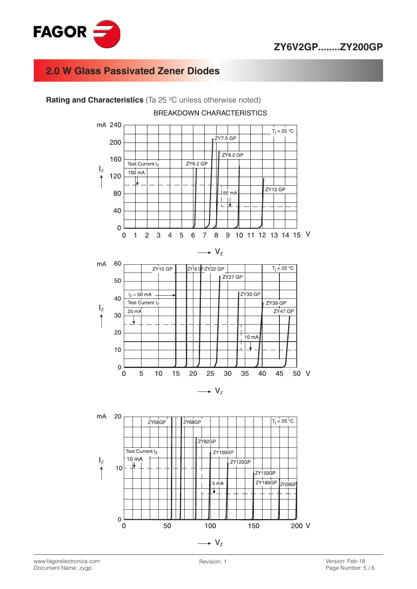



**Rating and Characteristics** (Ta 25 ºC unless otherwise noted)

 $\overline{0}$ 

 $\rightarrow V_{z}$ 

100

150

200 V